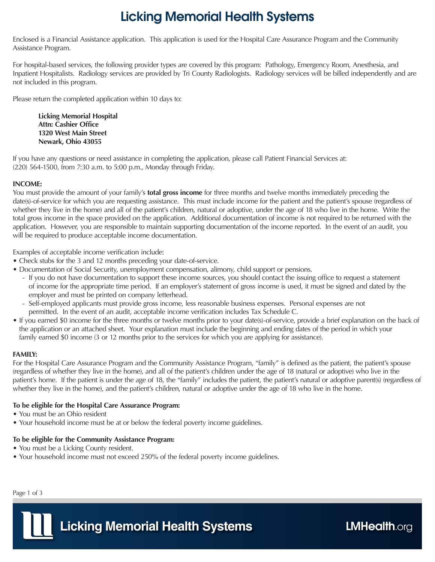# Licking Memorial Health Systems

Enclosed is a Financial Assistance application. This application is used for the Hospital Care Assurance Program and the Community Assistance Program.

For hospital-based services, the following provider types are covered by this program: Pathology, Emergency Room, Anesthesia, and Inpatient Hospitalists. Radiology services are provided by Tri County Radiologists. Radiology services will be billed independently and are not included in this program.

Please return the completed application within 10 days to:

**Licking Memorial Hospital Attn: Cashier Office 1320 West Main Street Newark, Ohio 43055**

If you have any questions or need assistance in completing the application, please call Patient Financial Services at: (220) 564-1500, from 7:30 a.m. to 5:00 p.m., Monday through Friday.

### **INCOME:**

You must provide the amount of your family's **total gross income** for three months and twelve months immediately preceding the date(s)-of-service for which you are requesting assistance. This must include income for the patient and the patient's spouse (regardless of whether they live in the home) and all of the patient's children, natural or adoptive, under the age of 18 who live in the home. Write the total gross income in the space provided on the application. Additional documentation of income is not required to be returned with the application. However, you are responsible to maintain supporting documentation of the income reported. In the event of an audit, you will be required to produce acceptable income documentation.

Examples of acceptable income verification include:

- Check stubs for the 3 and 12 months preceding your date-of-service.
- Documentation of Social Security, unemployment compensation, alimony, child support or pensions.
	- If you do not have documentation to support these income sources, you should contact the issuing office to request a statement of income for the appropriate time period. If an employer's statement of gross income is used, it must be signed and dated by the employer and must be printed on company letterhead.
	- Self-employed applicants must provide gross income, less reasonable business expenses. Personal expenses are not permitted. In the event of an audit, acceptable income verification includes Tax Schedule C.
- If you earned \$0 income for the three months or twelve months prior to your date(s)-of-service, provide a brief explanation on the back of the application or an attached sheet. Your explanation must include the beginning and ending dates of the period in which your family earned \$0 income (3 or 12 months prior to the services for which you are applying for assistance).

#### **FAMILY:**

For the Hospital Care Assurance Program and the Community Assistance Program, "family" is defined as the patient, the patient's spouse (regardless of whether they live in the home), and all of the patient's children under the age of 18 (natural or adoptive) who live in the patient's home. If the patient is under the age of 18, the "family" includes the patient, the patient's natural or adoptive parent(s) (regardless of whether they live in the home), and the patient's children, natural or adoptive under the age of 18 who live in the home.

#### **To be eligible for the Hospital Care Assurance Program:**

- You must be an Ohio resident
- Your household income must be at or below the federal poverty income guidelines.

#### **To be eligible for the Community Assistance Program:**

- You must be a Licking County resident.
- Your household income must not exceed 250% of the federal poverty income guidelines.

Page 1 of 3

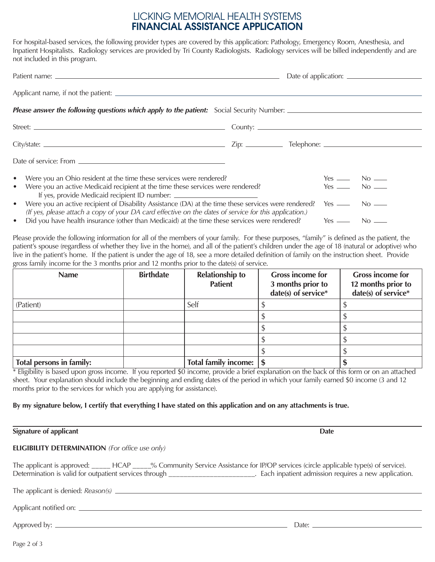## LICKING MEMORIAL HEALTH SYSTEMS FINANCIAL ASSISTANCE APPLICATION

For hospital-based services, the following provider types are covered by this application: Pathology, Emergency Room, Anesthesia, and Inpatient Hospitalists. Radiology services are provided by Tri County Radiologists. Radiology services will be billed independently and are not included in this program.

|                                                                                                                                                                                                                                                                                                                          |  |  | Date of application:     |  |
|--------------------------------------------------------------------------------------------------------------------------------------------------------------------------------------------------------------------------------------------------------------------------------------------------------------------------|--|--|--------------------------|--|
|                                                                                                                                                                                                                                                                                                                          |  |  |                          |  |
|                                                                                                                                                                                                                                                                                                                          |  |  |                          |  |
|                                                                                                                                                                                                                                                                                                                          |  |  |                          |  |
|                                                                                                                                                                                                                                                                                                                          |  |  |                          |  |
|                                                                                                                                                                                                                                                                                                                          |  |  |                          |  |
| • Were you an Ohio resident at the time these services were rendered?<br>• Were you an active Medicaid recipient at the time these services were rendered?                                                                                                                                                               |  |  | Yes — No —<br>Yes — No — |  |
| If yes, provide Medicaid recipient ID number: __________________________________<br>• Were you an active recipient of Disability Assistance (DA) at the time these services were rendered? Yes ______ No _____<br>(If yes, please attach a copy of your DA card effective on the dates of service for this application.) |  |  |                          |  |
| • Did you have health insurance (other than Medicaid) at the time these services were rendered? Yes — No —                                                                                                                                                                                                               |  |  |                          |  |

Please provide the following information for all of the members of your family. For these purposes, "family" is defined as the patient, the patient's spouse (regardless of whether they live in the home), and all of the patient's children under the age of 18 (natural or adoptive) who live in the patient's home. If the patient is under the age of 18, see a more detailed definition of family on the instruction sheet. Provide gross family income for the 3 months prior and 12 months prior to the date(s) of service.

| <b>Name</b>              | <b>Birthdate</b> | <b>Relationship to</b><br><b>Patient</b> | <b>Gross income for</b><br>3 months prior to<br>date(s) of service* | <b>Gross income for</b><br>12 months prior to<br>date(s) of service* |
|--------------------------|------------------|------------------------------------------|---------------------------------------------------------------------|----------------------------------------------------------------------|
| (Patient)                |                  | Self                                     |                                                                     |                                                                      |
|                          |                  |                                          |                                                                     |                                                                      |
|                          |                  |                                          |                                                                     |                                                                      |
|                          |                  |                                          |                                                                     |                                                                      |
|                          |                  |                                          |                                                                     |                                                                      |
| Total persons in family: |                  | Total family income: \  \$               |                                                                     |                                                                      |

\* Eligibility is based upon gross income. If you reported \$0 income, provide a brief explanation on the back of this form or on an attached sheet. Your explanation should include the beginning and ending dates of the period in which your family earned \$0 income (3 and 12 months prior to the services for which you are applying for assistance).

#### **By my signature below, I certify that everything I have stated on this application and on any attachments is true.**

**Signature of applicant Date ELIGIBILITY DETERMINATION** *(For office use only)* The applicant is approved: \_\_\_\_\_ HCAP \_\_\_\_% Community Service Assistance for IP/OP services (circle applicable type(s) of service). Determination is valid for outpatient services through \_\_\_\_\_\_\_\_\_\_\_\_\_\_\_\_\_\_\_\_\_\_\_\_\_\_. Each inpatient admission requires a new application. The applicant is denied: *Reason(s)* Applicant notified on: Approved by: Date: